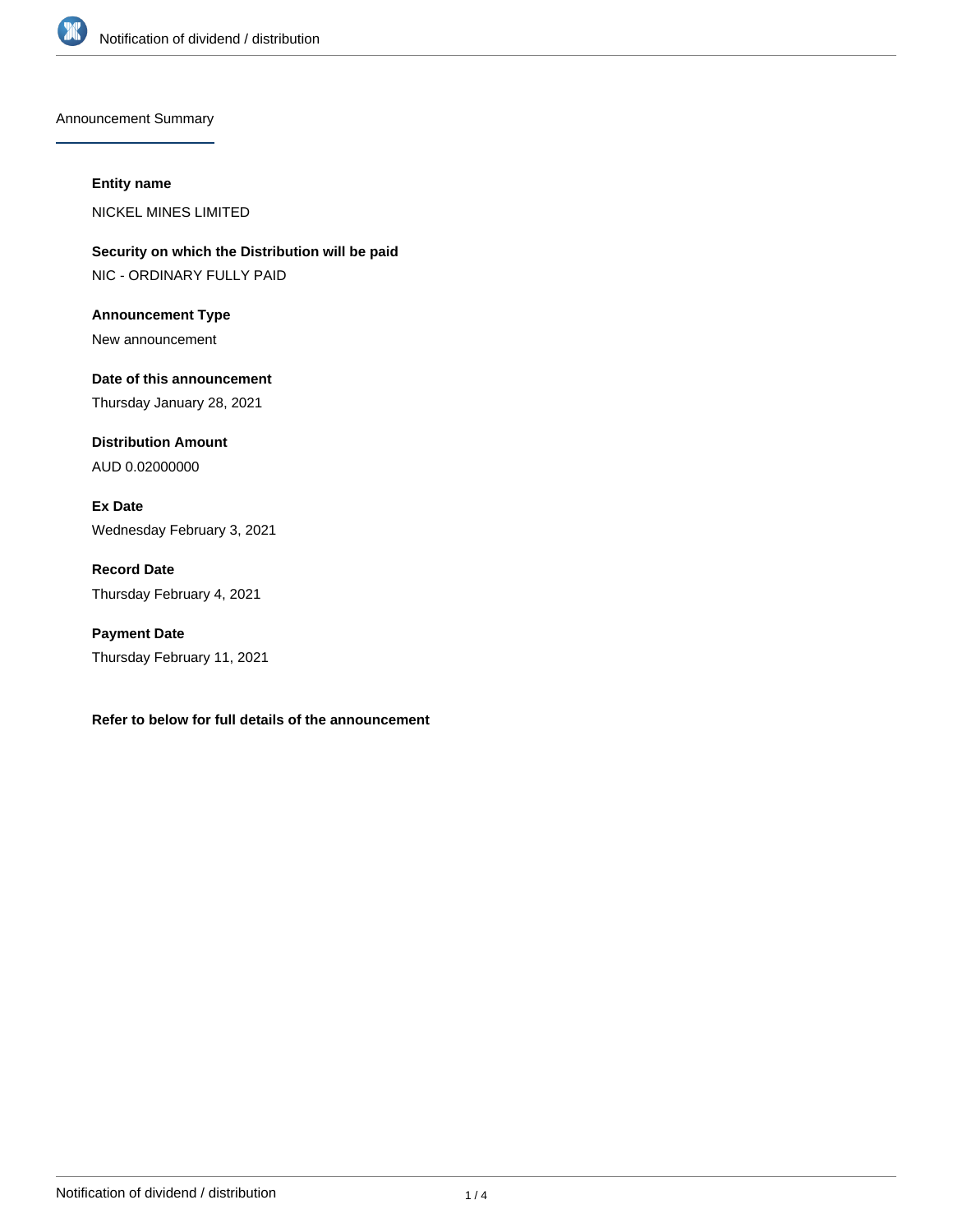

Announcement Summary

#### **Entity name**

NICKEL MINES LIMITED

**Security on which the Distribution will be paid** NIC - ORDINARY FULLY PAID

**Announcement Type** New announcement

**Date of this announcement** Thursday January 28, 2021

**Distribution Amount** AUD 0.02000000

**Ex Date** Wednesday February 3, 2021

**Record Date** Thursday February 4, 2021

**Payment Date** Thursday February 11, 2021

**Refer to below for full details of the announcement**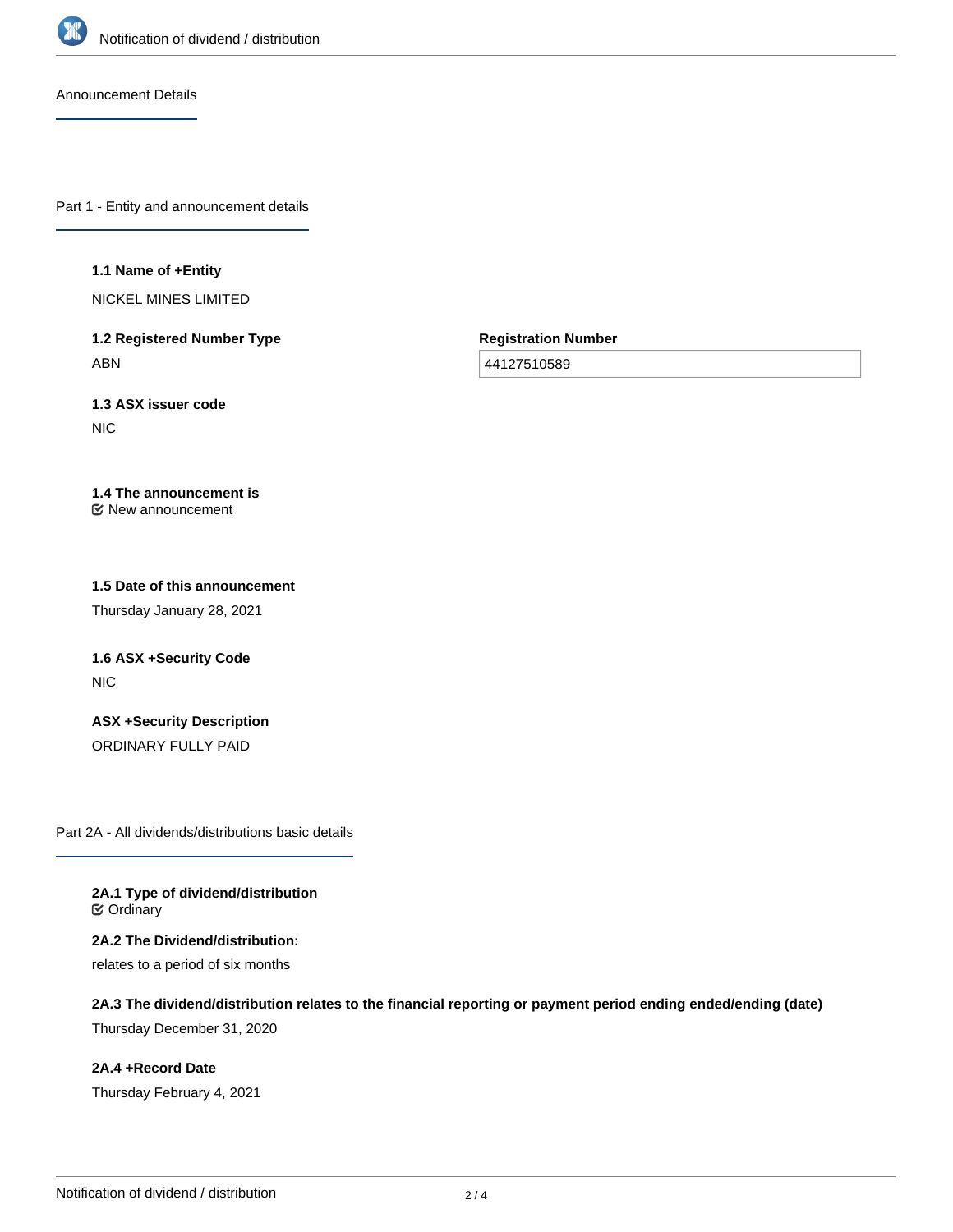

Announcement Details

Part 1 - Entity and announcement details

#### **1.1 Name of +Entity**

NICKEL MINES LIMITED

**1.2 Registered Number Type** ABN

**Registration Number**

44127510589

**1.3 ASX issuer code NIC** 

#### **1.4 The announcement is** New announcement

### **1.5 Date of this announcement**

Thursday January 28, 2021

# **1.6 ASX +Security Code** NIC

**ASX +Security Description** ORDINARY FULLY PAID

Part 2A - All dividends/distributions basic details

**2A.1 Type of dividend/distribution ⊘** Ordinary

**2A.2 The Dividend/distribution:** relates to a period of six months

**2A.3 The dividend/distribution relates to the financial reporting or payment period ending ended/ending (date)**

Thursday December 31, 2020

**2A.4 +Record Date** Thursday February 4, 2021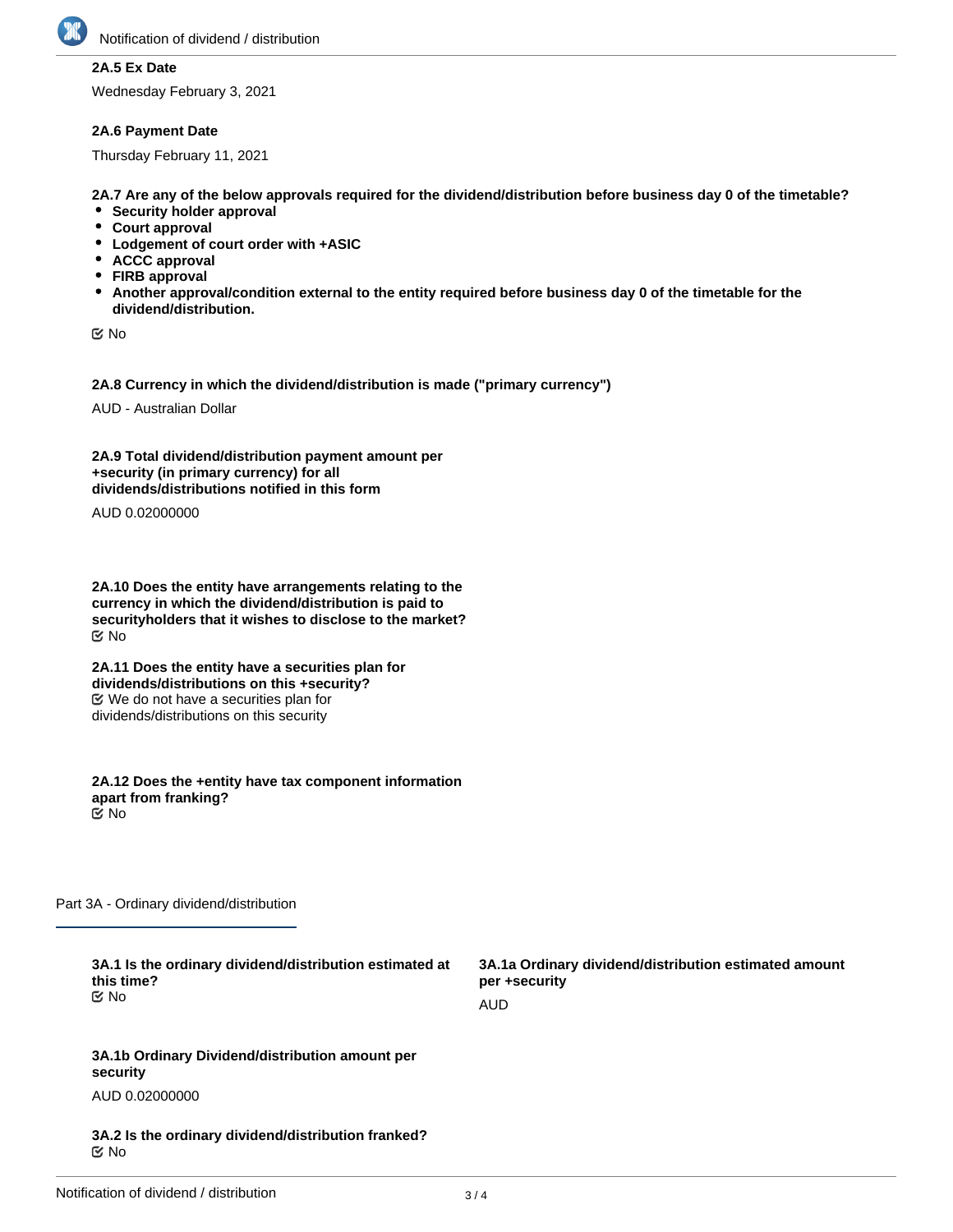

## **2A.5 Ex Date**

Wednesday February 3, 2021

#### **2A.6 Payment Date**

Thursday February 11, 2021

**2A.7 Are any of the below approvals required for the dividend/distribution before business day 0 of the timetable?**

- **Security holder approval**
- **Court approval**
- **Lodgement of court order with +ASIC**
- **ACCC approval**
- **FIRB approval**
- **Another approval/condition external to the entity required before business day 0 of the timetable for the dividend/distribution.**

No

**2A.8 Currency in which the dividend/distribution is made ("primary currency")**

AUD - Australian Dollar

**2A.9 Total dividend/distribution payment amount per +security (in primary currency) for all dividends/distributions notified in this form**

AUD 0.02000000

**2A.10 Does the entity have arrangements relating to the currency in which the dividend/distribution is paid to securityholders that it wishes to disclose to the market?** No

**2A.11 Does the entity have a securities plan for dividends/distributions on this +security?** We do not have a securities plan for dividends/distributions on this security

**2A.12 Does the +entity have tax component information apart from franking?** No

Part 3A - Ordinary dividend/distribution

**3A.1 Is the ordinary dividend/distribution estimated at this time?** No

**3A.1a Ordinary dividend/distribution estimated amount per +security** AUD

**3A.1b Ordinary Dividend/distribution amount per security** AUD 0.02000000

**3A.2 Is the ordinary dividend/distribution franked?** No